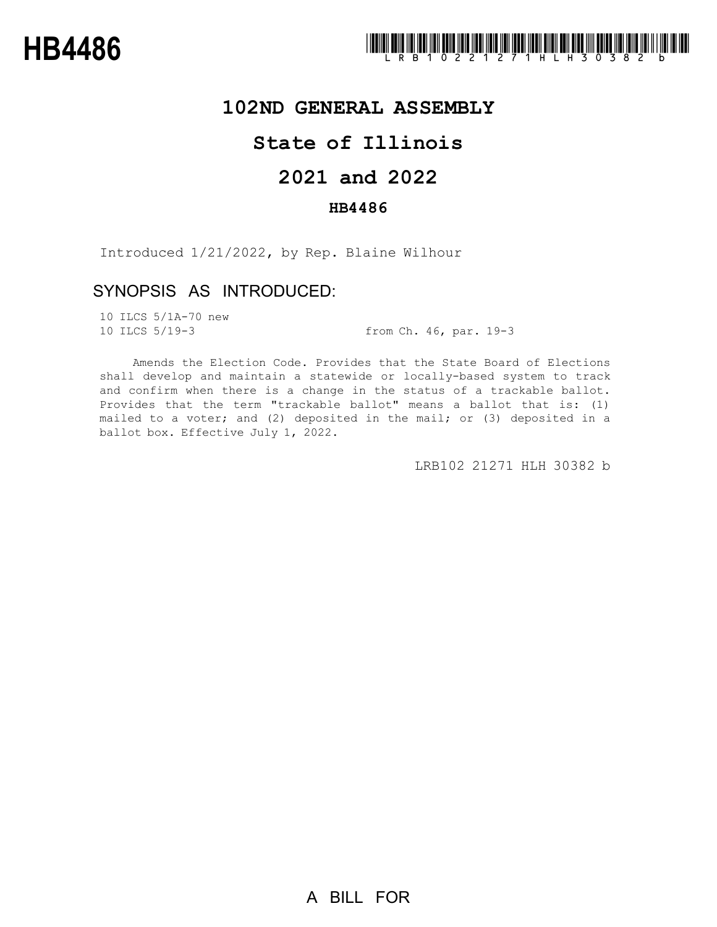## **102ND GENERAL ASSEMBLY**

# **State of Illinois**

# **2021 and 2022**

## **HB4486**

Introduced 1/21/2022, by Rep. Blaine Wilhour

## SYNOPSIS AS INTRODUCED:

10 ILCS 5/1A-70 new

10 ILCS 5/19-3 from Ch. 46, par. 19-3

Amends the Election Code. Provides that the State Board of Elections shall develop and maintain a statewide or locally-based system to track and confirm when there is a change in the status of a trackable ballot. Provides that the term "trackable ballot" means a ballot that is: (1) mailed to a voter; and (2) deposited in the mail; or (3) deposited in a ballot box. Effective July 1, 2022.

LRB102 21271 HLH 30382 b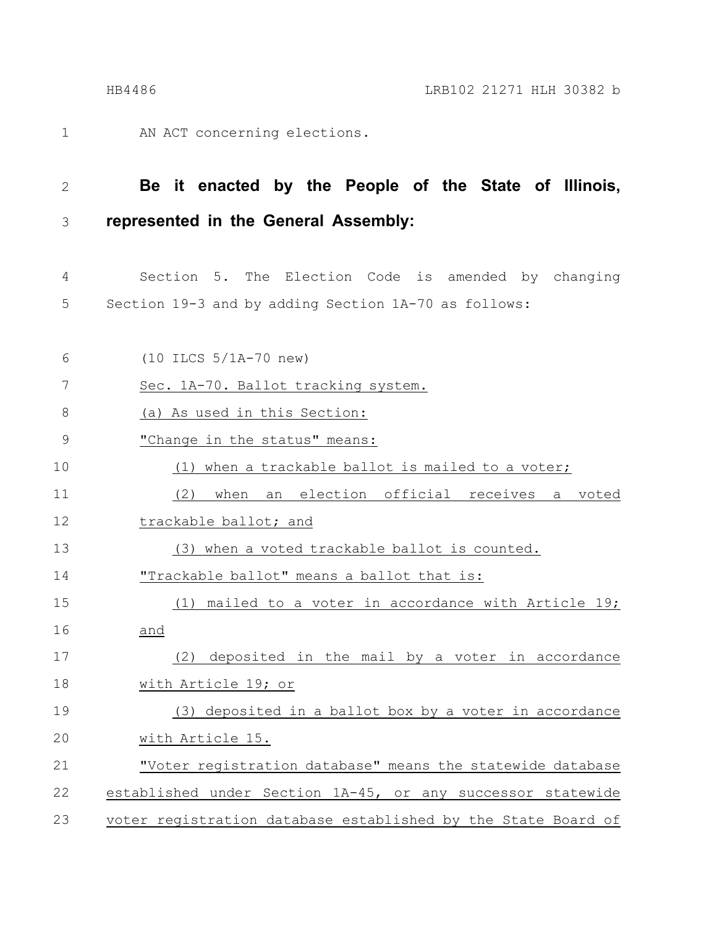1

AN ACT concerning elections.

#### **Be it enacted by the People of the State of Illinois, represented in the General Assembly:** 2 3

Section 5. The Election Code is amended by changing Section 19-3 and by adding Section 1A-70 as follows: 4 5

| 6             | $(10$ ILCS $5/1A-70$ new)                                     |
|---------------|---------------------------------------------------------------|
| 7             | Sec. 1A-70. Ballot tracking system.                           |
| $8\,$         | (a) As used in this Section:                                  |
| $\mathcal{G}$ | "Change in the status" means:                                 |
| 10            | (1) when a trackable ballot is mailed to a voter;             |
| 11            | an election official receives<br>(2)<br>when<br>voted<br>a    |
| 12            | trackable ballot; and                                         |
| 13            | (3) when a voted trackable ballot is counted.                 |
| 14            | "Trackable ballot" means a ballot that is:                    |
| 15            | (1) mailed to a voter in accordance with Article 19;          |
| 16            | and                                                           |
| 17            | deposited in the mail by a voter in accordance<br>(2)         |
| 18            | with Article 19; or                                           |
| 19            | (3) deposited in a ballot box by a voter in accordance        |
| 20            | with Article 15.                                              |
| 21            | "Voter registration database" means the statewide database    |
| 22            | established under Section 1A-45, or any successor statewide   |
| 23            | voter registration database established by the State Board of |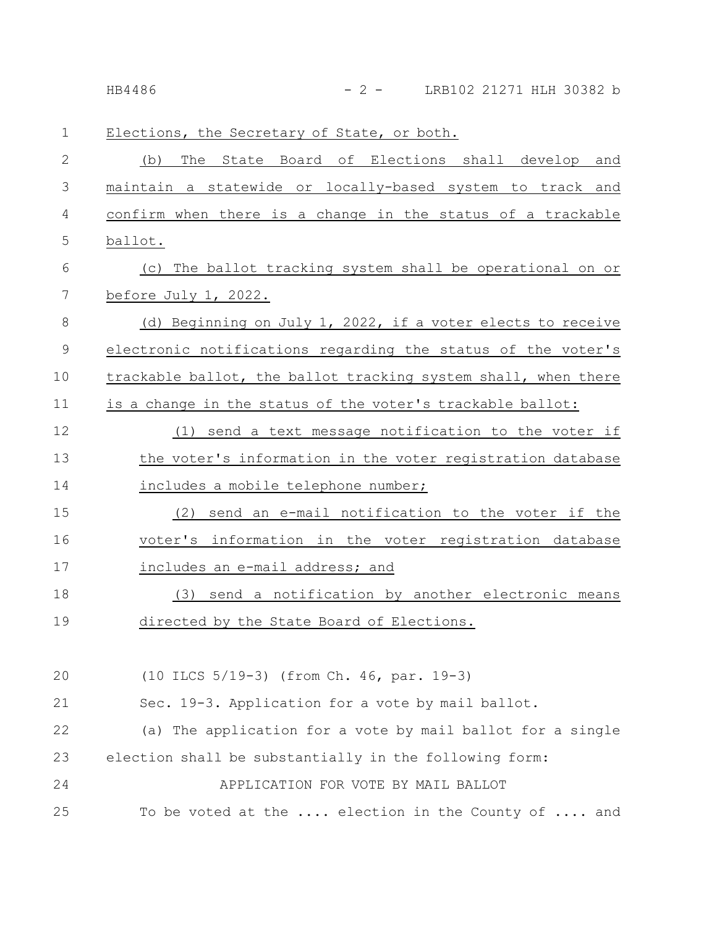| 1           | Elections, the Secretary of State, or both.                    |
|-------------|----------------------------------------------------------------|
| 2           | State Board of Elections shall develop and<br>(b)<br>The       |
| 3           | a statewide or locally-based system to track and<br>maintain   |
| 4           | confirm when there is a change in the status of a trackable    |
| 5           | ballot.                                                        |
| 6           | (c) The ballot tracking system shall be operational on or      |
| 7           | before July 1, 2022.                                           |
| 8           | (d) Beginning on July 1, 2022, if a voter elects to receive    |
| $\mathsf 9$ | electronic notifications regarding the status of the voter's   |
| 10          | trackable ballot, the ballot tracking system shall, when there |
| 11          | is a change in the status of the voter's trackable ballot:     |
| 12          | (1) send a text message notification to the voter if           |
| 13          | the voter's information in the voter registration database     |
| 14          | includes a mobile telephone number;                            |
| 15          | send an e-mail notification to the voter if the<br>(2)         |
| 16          | voter's information in the voter registration database         |
| 17          | includes an e-mail address; and                                |
| 18          | send a notification by another electronic means<br>(3)         |
| 19          | directed by the State Board of Elections.                      |
|             |                                                                |
| 20          | (10 ILCS 5/19-3) (from Ch. 46, par. 19-3)                      |
| 21          | Sec. 19-3. Application for a vote by mail ballot.              |
| 22          | (a) The application for a vote by mail ballot for a single     |
| 23          | election shall be substantially in the following form:         |
| 24          | APPLICATION FOR VOTE BY MAIL BALLOT                            |
| 25          | To be voted at the  election in the County of  and             |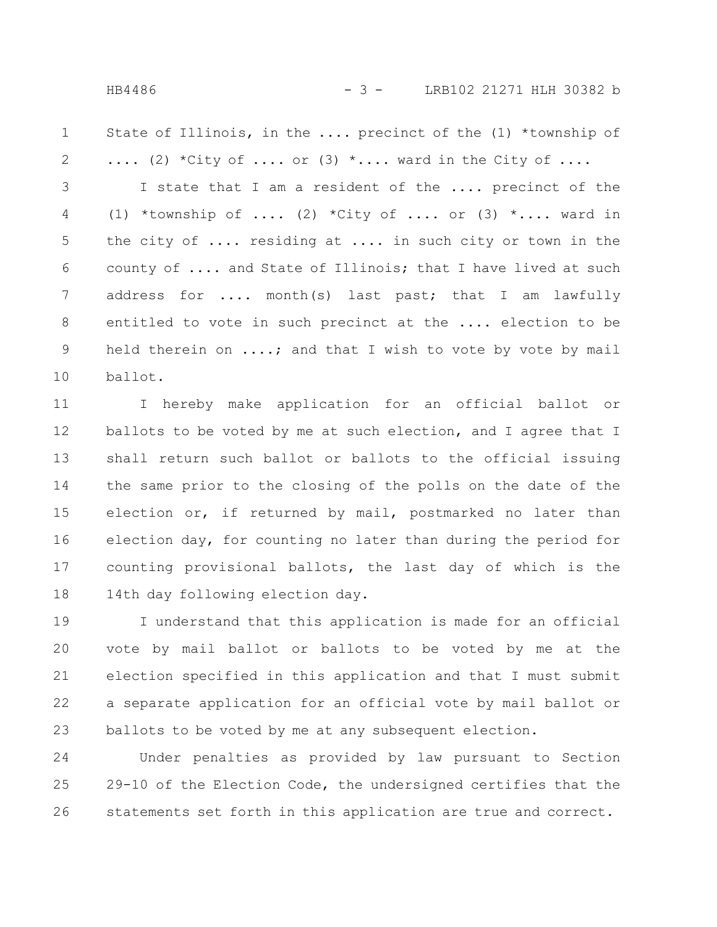State of Illinois, in the .... precinct of the (1) \*township of .... (2) \*City of .... or (3) \*.... ward in the City of .... 1 2

I state that I am a resident of the .... precinct of the (1) \*township of .... (2) \*City of .... or (3) \*.... ward in the city of .... residing at .... in such city or town in the county of .... and State of Illinois; that I have lived at such address for .... month(s) last past; that I am lawfully entitled to vote in such precinct at the .... election to be held therein on ....; and that I wish to vote by vote by mail ballot. 3 4 5 6 7 8 9 10

I hereby make application for an official ballot or ballots to be voted by me at such election, and I agree that I shall return such ballot or ballots to the official issuing the same prior to the closing of the polls on the date of the election or, if returned by mail, postmarked no later than election day, for counting no later than during the period for counting provisional ballots, the last day of which is the 14th day following election day. 11 12 13 14 15 16 17 18

I understand that this application is made for an official vote by mail ballot or ballots to be voted by me at the election specified in this application and that I must submit a separate application for an official vote by mail ballot or ballots to be voted by me at any subsequent election. 19 20 21 22 23

Under penalties as provided by law pursuant to Section 29-10 of the Election Code, the undersigned certifies that the statements set forth in this application are true and correct. 24 25 26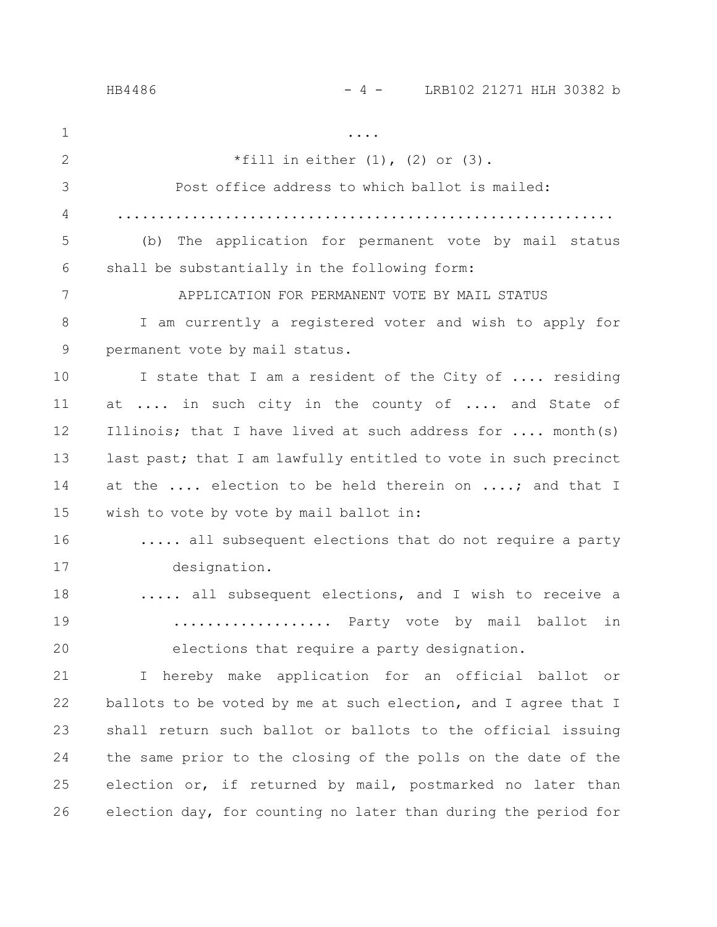### HB4486 - 4 - LRB102 21271 HLH 30382 b

.... \*fill in either  $(1)$ ,  $(2)$  or  $(3)$ . Post office address to which ballot is mailed: ............................................................ (b) The application for permanent vote by mail status shall be substantially in the following form: APPLICATION FOR PERMANENT VOTE BY MAIL STATUS I am currently a registered voter and wish to apply for permanent vote by mail status. I state that I am a resident of the City of .... residing at .... in such city in the county of .... and State of Illinois; that I have lived at such address for .... month(s) last past; that I am lawfully entitled to vote in such precinct at the .... election to be held therein on ....; and that I wish to vote by vote by mail ballot in: ..... all subsequent elections that do not require a party designation. ..... all subsequent elections, and I wish to receive a .................. Party vote by mail ballot in elections that require a party designation. I hereby make application for an official ballot or ballots to be voted by me at such election, and I agree that I shall return such ballot or ballots to the official issuing the same prior to the closing of the polls on the date of the election or, if returned by mail, postmarked no later than election day, for counting no later than during the period for 1 2 3 4 5 6 7 8 9 10 11 12 13 14 15 16 17 18 19 20 21 22 23 24 25 26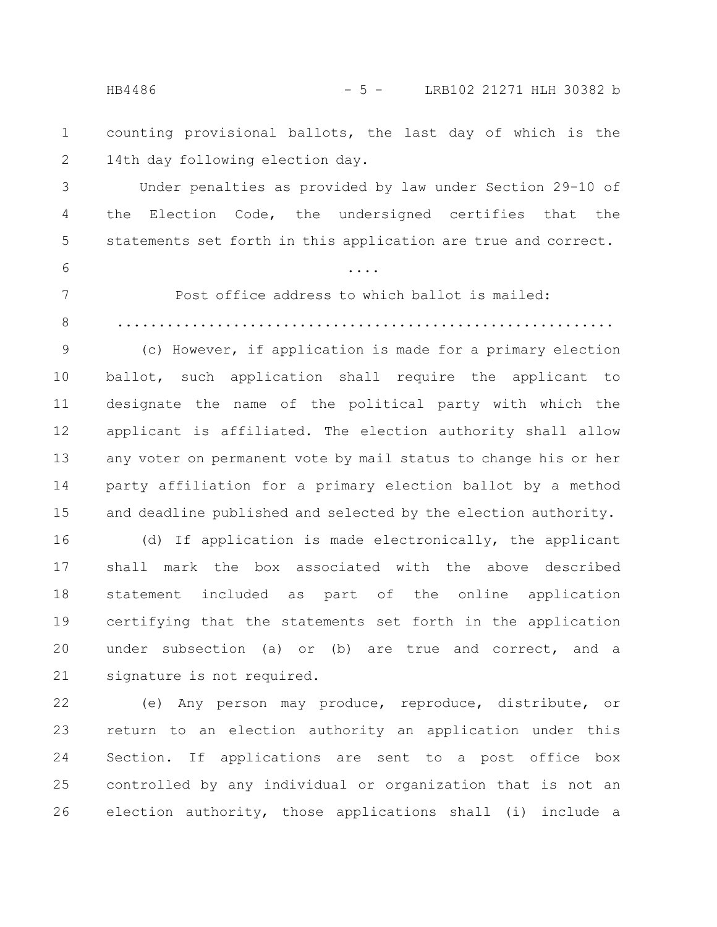HB4486 - 5 - LRB102 21271 HLH 30382 b

counting provisional ballots, the last day of which is the 14th day following election day. 1 2

Under penalties as provided by law under Section 29-10 of the Election Code, the undersigned certifies that the statements set forth in this application are true and correct. 3 4 5

6

7

Post office address to which ballot is mailed:

....

............................................................ 8

(c) However, if application is made for a primary election ballot, such application shall require the applicant to designate the name of the political party with which the applicant is affiliated. The election authority shall allow any voter on permanent vote by mail status to change his or her party affiliation for a primary election ballot by a method and deadline published and selected by the election authority. 9 10 11 12 13 14 15

(d) If application is made electronically, the applicant shall mark the box associated with the above described statement included as part of the online application certifying that the statements set forth in the application under subsection (a) or (b) are true and correct, and a signature is not required. 16 17 18 19 20 21

(e) Any person may produce, reproduce, distribute, or return to an election authority an application under this Section. If applications are sent to a post office box controlled by any individual or organization that is not an election authority, those applications shall (i) include a 22 23 24 25 26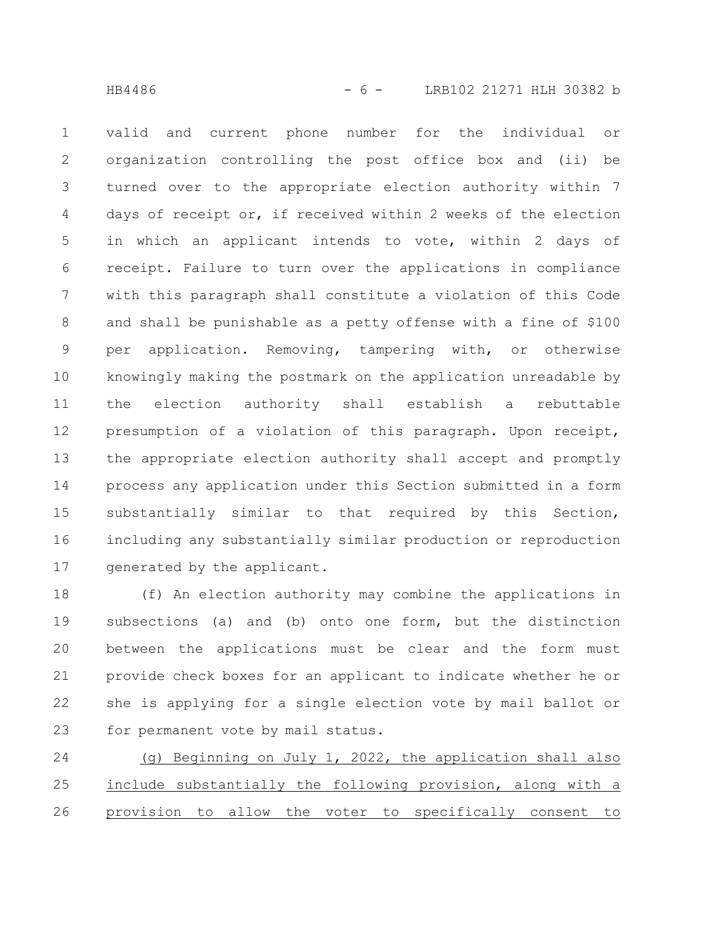valid and current phone number for the individual or organization controlling the post office box and (ii) be turned over to the appropriate election authority within 7 days of receipt or, if received within 2 weeks of the election in which an applicant intends to vote, within 2 days of receipt. Failure to turn over the applications in compliance with this paragraph shall constitute a violation of this Code and shall be punishable as a petty offense with a fine of \$100 per application. Removing, tampering with, or otherwise knowingly making the postmark on the application unreadable by the election authority shall establish a rebuttable presumption of a violation of this paragraph. Upon receipt, the appropriate election authority shall accept and promptly process any application under this Section submitted in a form substantially similar to that required by this Section, including any substantially similar production or reproduction generated by the applicant. 1 2 3 4 5 6 7 8 9 10 11 12 13 14 15 16 17

(f) An election authority may combine the applications in subsections (a) and (b) onto one form, but the distinction between the applications must be clear and the form must provide check boxes for an applicant to indicate whether he or she is applying for a single election vote by mail ballot or for permanent vote by mail status. 18 19 20 21 22 23

(g) Beginning on July 1, 2022, the application shall also include substantially the following provision, along with a provision to allow the voter to specifically consent to 24 25 26